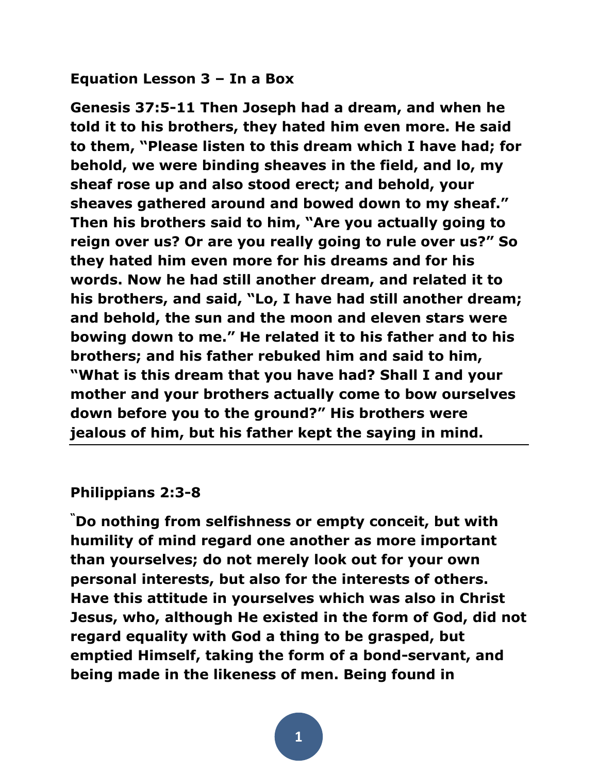### **Equation Lesson 3 – In a Box**

**Genesis 37:5-11 Then Joseph had a dream, and when he told it to his brothers, they hated him even more. He said to them, "Please listen to this dream which I have had; for behold, we were binding sheaves in the field, and lo, my sheaf rose up and also stood erect; and behold, your sheaves gathered around and bowed down to my sheaf." Then his brothers said to him, "Are you actually going to reign over us? Or are you really going to rule over us?" So they hated him even more for his dreams and for his words. Now he had still another dream, and related it to his brothers, and said, "Lo, I have had still another dream; and behold, the sun and the moon and eleven stars were bowing down to me." He related it to his father and to his brothers; and his father rebuked him and said to him, "What is this dream that you have had? Shall I and your mother and your brothers actually come to bow ourselves down before you to the ground?" His brothers were jealous of him, but his father kept the saying in mind.**

#### **Philippians 2:3-8**

**"Do nothing from selfishness or empty conceit, but with humility of mind regard one another as more important than yourselves; do not merely look out for your own personal interests, but also for the interests of others. Have this attitude in yourselves which was also in Christ Jesus, who, although He existed in the form of God, did not regard equality with God a thing to be grasped, but emptied Himself, taking the form of a bond-servant, and being made in the likeness of men. Being found in**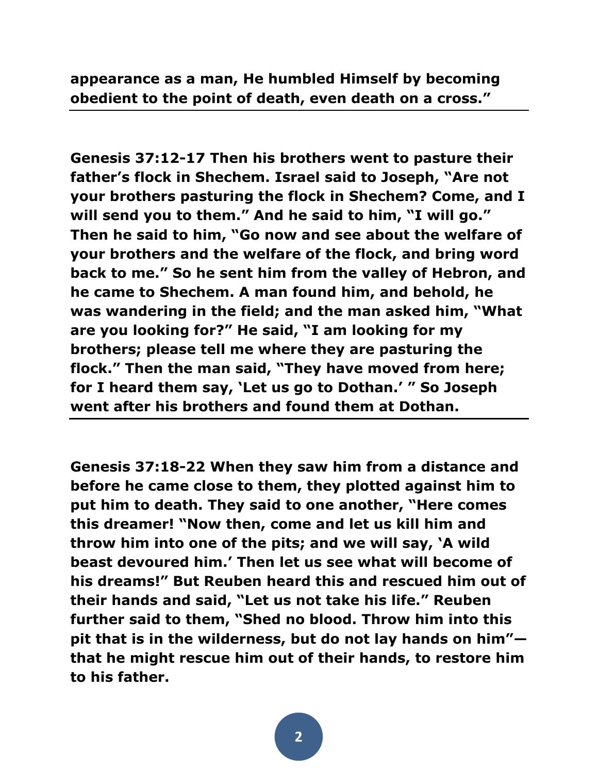**appearance as a man, He humbled Himself by becoming obedient to the point of death, even death on a cross."**

**Genesis 37:12-17 Then his brothers went to pasture their father's flock in Shechem. Israel said to Joseph, "Are not your brothers pasturing the flock in Shechem? Come, and I will send you to them." And he said to him, "I will go." Then he said to him, "Go now and see about the welfare of your brothers and the welfare of the flock, and bring word back to me." So he sent him from the valley of Hebron, and he came to Shechem. A man found him, and behold, he was wandering in the field; and the man asked him, "What are you looking for?" He said, "I am looking for my brothers; please tell me where they are pasturing the flock." Then the man said, "They have moved from here; for I heard them say, 'Let us go to Dothan.' " So Joseph went after his brothers and found them at Dothan.** 

**Genesis 37:18-22 When they saw him from a distance and before he came close to them, they plotted against him to put him to death. They said to one another, "Here comes this dreamer! "Now then, come and let us kill him and throw him into one of the pits; and we will say, 'A wild beast devoured him.' Then let us see what will become of his dreams!" But Reuben heard this and rescued him out of their hands and said, "Let us not take his life." Reuben further said to them, "Shed no blood. Throw him into this pit that is in the wilderness, but do not lay hands on him" that he might rescue him out of their hands, to restore him to his father.**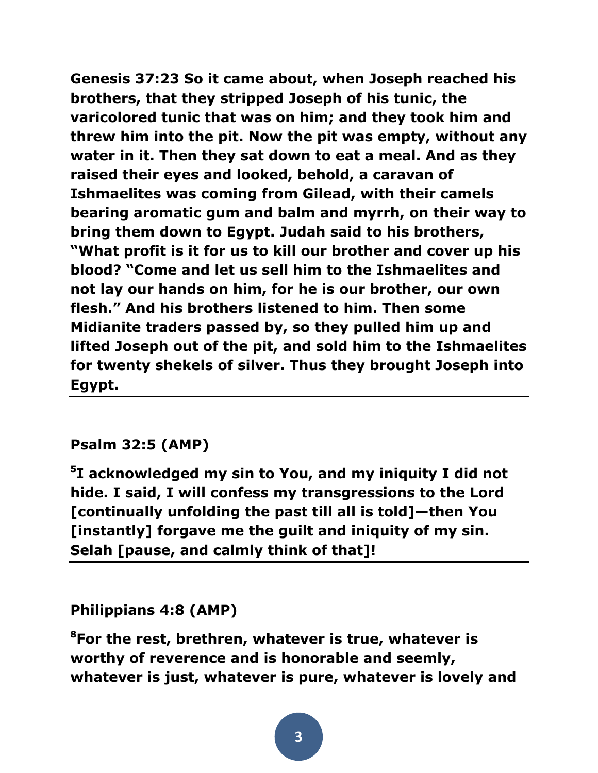**Genesis 37:23 So it came about, when Joseph reached his brothers, that they stripped Joseph of his tunic, the varicolored tunic that was on him; and they took him and threw him into the pit. Now the pit was empty, without any water in it. Then they sat down to eat a meal. And as they raised their eyes and looked, behold, a caravan of Ishmaelites was coming from Gilead, with their camels bearing aromatic gum and balm and myrrh, on their way to bring them down to Egypt. Judah said to his brothers, "What profit is it for us to kill our brother and cover up his blood? "Come and let us sell him to the Ishmaelites and not lay our hands on him, for he is our brother, our own flesh." And his brothers listened to him. Then some Midianite traders passed by, so they pulled him up and lifted Joseph out of the pit, and sold him to the Ishmaelites for twenty shekels of silver. Thus they brought Joseph into Egypt.**

# **Psalm 32:5 (AMP)**

**5 I acknowledged my sin to You, and my iniquity I did not hide. I said, I will confess my transgressions to the Lord [continually unfolding the past till all is told]—then You [instantly] forgave me the guilt and iniquity of my sin. Selah [pause, and calmly think of that]!** 

## **Philippians 4:8 (AMP)**

**<sup>8</sup>For the rest, brethren, whatever is true, whatever is worthy of reverence and is honorable and seemly, whatever is just, whatever is pure, whatever is lovely and**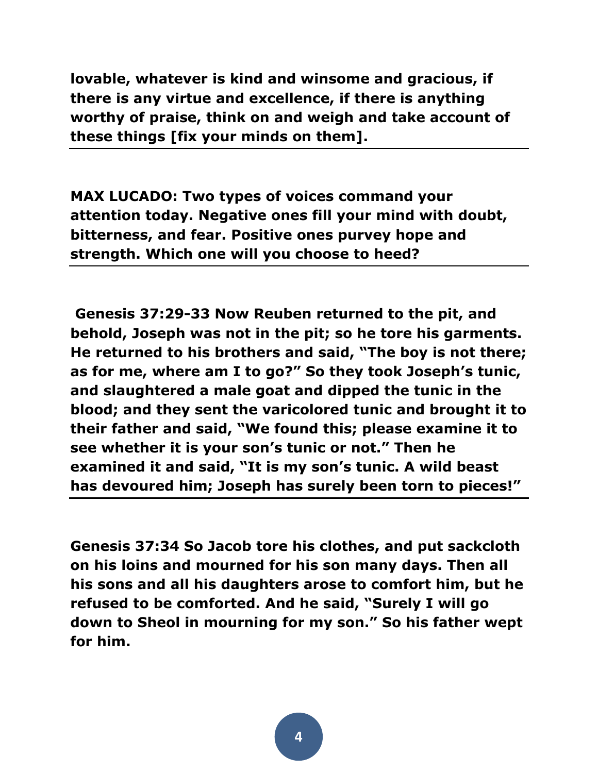**lovable, whatever is kind and winsome and gracious, if there is any virtue and excellence, if there is anything worthy of praise, think on and weigh and take account of these things [fix your minds on them].** 

**MAX LUCADO: Two types of voices command your attention today. Negative ones fill your mind with doubt, bitterness, and fear. Positive ones purvey hope and strength. Which one will you choose to heed?**

**Genesis 37:29-33 Now Reuben returned to the pit, and behold, Joseph was not in the pit; so he tore his garments. He returned to his brothers and said, "The boy is not there; as for me, where am I to go?" So they took Joseph's tunic, and slaughtered a male goat and dipped the tunic in the blood; and they sent the varicolored tunic and brought it to their father and said, "We found this; please examine it to see whether it is your son's tunic or not." Then he examined it and said, "It is my son's tunic. A wild beast has devoured him; Joseph has surely been torn to pieces!"** 

**Genesis 37:34 So Jacob tore his clothes, and put sackcloth on his loins and mourned for his son many days. Then all his sons and all his daughters arose to comfort him, but he refused to be comforted. And he said, "Surely I will go down to Sheol in mourning for my son." So his father wept for him.**